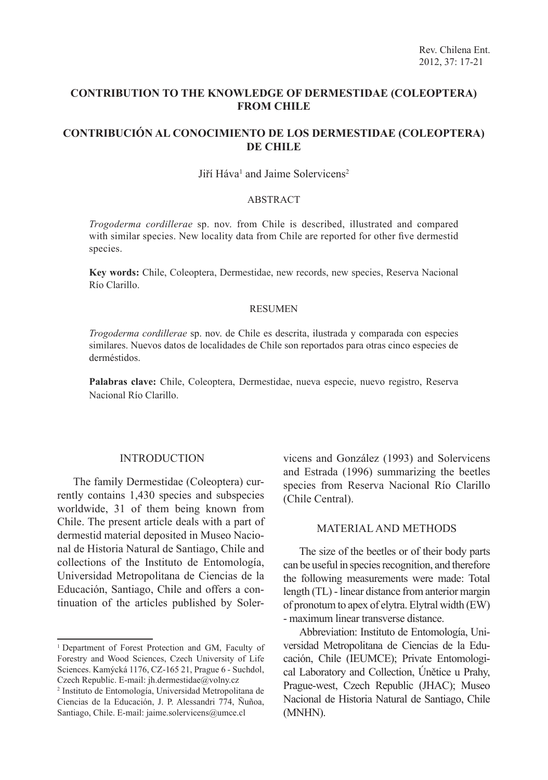## **CONTRIBUTION TO THE KNOWLEDGE OF DERMESTIDAE (COLEOPTERA) FROM CHILE**

# **CONTRIBUCIÓN AL CONOCIMIENTO DE LOS DERMESTIDAE (COLEOPTERA) DE CHILE**

### Jiří Háva<sup>1</sup> and Jaime Solervicens<sup>2</sup>

### ABSTRACT

*Trogoderma cordillerae* sp. nov. from Chile is described, illustrated and compared with similar species. New locality data from Chile are reported for other five dermestid species.

**Key words:** Chile, Coleoptera, Dermestidae, new records, new species, Reserva Nacional Río Clarillo.

#### RESUMEN

*Trogoderma cordillerae* sp. nov. de Chile es descrita, ilustrada y comparada con especies similares. Nuevos datos de localidades de Chile son reportados para otras cinco especies de derméstidos.

**Palabras clave:** Chile, Coleoptera, Dermestidae, nueva especie, nuevo registro, Reserva Nacional Río Clarillo.

#### INTRODUCTION

The family Dermestidae (Coleoptera) currently contains 1,430 species and subspecies worldwide, 31 of them being known from Chile. The present article deals with a part of dermestid material deposited in Museo Nacional de Historia Natural de Santiago, Chile and collections of the Instituto de Entomología, Universidad Metropolitana de Ciencias de la Educación, Santiago, Chile and offers a continuation of the articles published by Solervicens and González (1993) and Solervicens and Estrada (1996) summarizing the beetles species from Reserva Nacional Río Clarillo (Chile Central).

#### MATERIAL AND METHODS

The size of the beetles or of their body parts can be useful in species recognition, and therefore the following measurements were made: Total length (TL) - linear distance from anterior margin of pronotum to apex of elytra. Elytral width (EW) - maximum linear transverse distance.

Abbreviation: Instituto de Entomología, Universidad Metropolitana de Ciencias de la Educación, Chile (IEUMCE); Private Entomological Laboratory and Collection, Únětice u Prahy, Prague-west, Czech Republic (JHAC); Museo Nacional de Historia Natural de Santiago, Chile (MNHN).

<sup>&</sup>lt;sup>1</sup> Department of Forest Protection and GM, Faculty of Forestry and Wood Sciences, Czech University of Life Sciences. Kamýcká 1176, CZ-165 21, Prague 6 - Suchdol, Czech Republic. E-mail: jh.dermestidae@volny.cz

<sup>2</sup> Instituto de Entomología, Universidad Metropolitana de Ciencias de la Educación, J. P. Alessandri 774, Ñuñoa, Santiago, Chile. E-mail: jaime.solervicens@umce.cl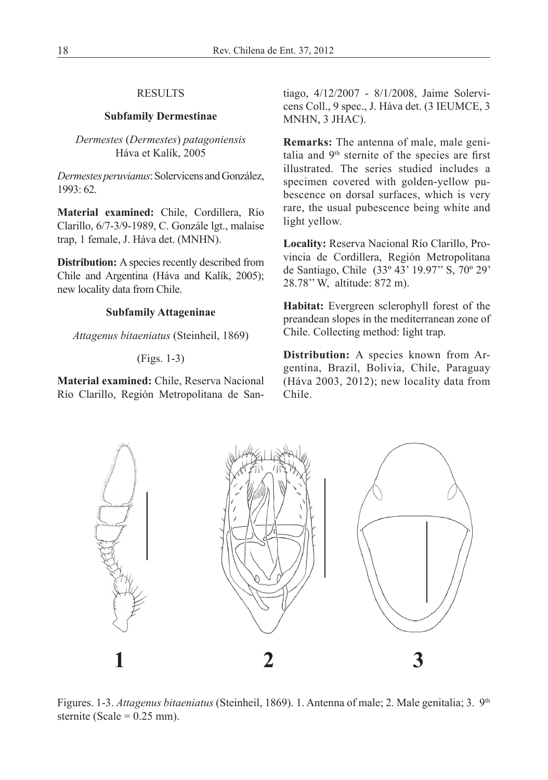### RESULTS

### **Subfamily Dermestinae**

### *Dermestes* (*Dermestes*) *patagoniensis* Háva et Kalík, 2005

*Dermestes peruvianus*: Solervicens and González, 1993: 62.

**Material examined:** Chile, Cordillera, Río Clarillo, 6/7-3/9-1989, C. Gonzále lgt., malaise trap, 1 female, J. Háva det. (MNHN).

**Distribution:** A species recently described from Chile and Argentina (Háva and Kalík, 2005); new locality data from Chile.

#### **Subfamily Attageninae**

*Attagenus bitaeniatus* (Steinheil, 1869)

### (Figs. 1-3)

**Material examined:** Chile, Reserva Nacional Río Clarillo, Región Metropolitana de Santiago, 4/12/2007 - 8/1/2008, Jaime Solervicens Coll., 9 spec., J. Háva det. (3 IEUMCE, 3 MNHN, 3 JHAC).

**Remarks:** The antenna of male, male genitalia and 9th sternite of the species are first illustrated. The series studied includes a specimen covered with golden-yellow pubescence on dorsal surfaces, which is very rare, the usual pubescence being white and light yellow.

**Locality:** Reserva Nacional Río Clarillo, Provincia de Cordillera, Región Metropolitana de Santiago, Chile (33º 43' 19.97'' S, 70º 29' 28.78'' W, altitude: 872 m).

**Habitat:** Evergreen sclerophyll forest of the preandean slopes in the mediterranean zone of Chile. Collecting method: light trap.

**Distribution:** A species known from Argentina, Brazil, Bolivia, Chile, Paraguay (Háva 2003, 2012); new locality data from Chile.



Figures. 1-3. *Attagenus bitaeniatus* (Steinheil, 1869). 1. Antenna of male; 2. Male genitalia; 3. 9<sup>th</sup> sternite (Scale =  $0.25$  mm).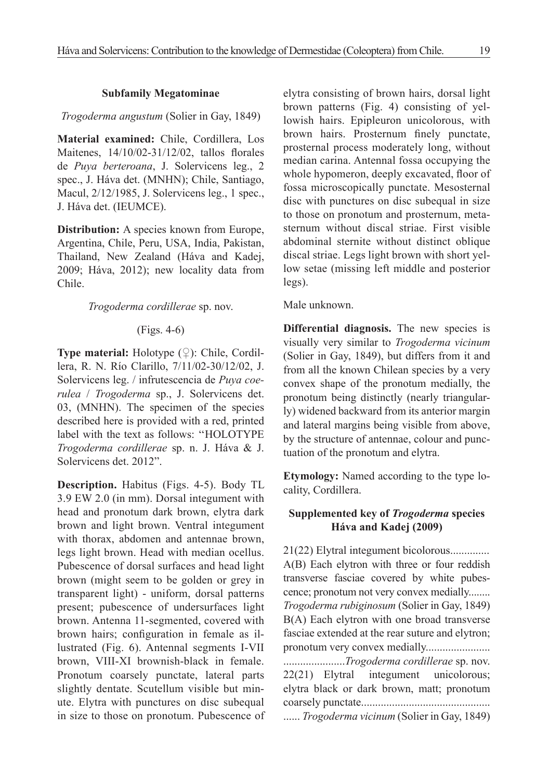### **Subfamily Megatominae**

### *Trogoderma angustum* (Solier in Gay, 1849)

**Material examined:** Chile, Cordillera, Los Maitenes, 14/10/02-31/12/02, tallos florales de *Puya berteroana*, J. Solervicens leg., 2 spec., J. Háva det. (MNHN); Chile, Santiago, Macul, 2/12/1985, J. Solervicens leg., 1 spec., J. Háva det. (IEUMCE).

**Distribution:** A species known from Europe, Argentina, Chile, Peru, USA, India, Pakistan, Thailand, New Zealand (Háva and Kadej, 2009; Háva, 2012); new locality data from Chile.

### *Trogoderma cordillerae* sp. nov.

## (Figs. 4-6)

**Type material:** Holotype (♀): Chile, Cordillera, R. N. Río Clarillo, 7/11/02-30/12/02, J. Solervicens leg. / infrutescencia de *Puya coerulea* / *Trogoderma* sp., J. Solervicens det. 03, (MNHN). The specimen of the species described here is provided with a red, printed label with the text as follows: ''HOLOTYPE *Trogoderma cordillerae* sp. n. J. Háva & J. Solervicens det. 2012".

**Description.** Habitus (Figs. 4-5). Body TL 3.9 EW 2.0 (in mm). Dorsal integument with head and pronotum dark brown, elytra dark brown and light brown. Ventral integument with thorax, abdomen and antennae brown, legs light brown. Head with median ocellus. Pubescence of dorsal surfaces and head light brown (might seem to be golden or grey in transparent light) - uniform, dorsal patterns present; pubescence of undersurfaces light brown. Antenna 11-segmented, covered with brown hairs; configuration in female as illustrated (Fig. 6). Antennal segments I-VII brown, VIII-XI brownish-black in female. Pronotum coarsely punctate, lateral parts slightly dentate. Scutellum visible but minute. Elytra with punctures on disc subequal in size to those on pronotum. Pubescence of elytra consisting of brown hairs, dorsal light brown patterns (Fig. 4) consisting of yellowish hairs. Epipleuron unicolorous, with brown hairs. Prosternum finely punctate, prosternal process moderately long, without median carina. Antennal fossa occupying the whole hypomeron, deeply excavated, floor of fossa microscopically punctate. Mesosternal disc with punctures on disc subequal in size to those on pronotum and prosternum, metasternum without discal striae. First visible abdominal sternite without distinct oblique discal striae. Legs light brown with short yellow setae (missing left middle and posterior legs).

Male unknown.

**Differential diagnosis.** The new species is visually very similar to *Trogoderma vicinum* (Solier in Gay, 1849), but differs from it and from all the known Chilean species by a very convex shape of the pronotum medially, the pronotum being distinctly (nearly triangularly) widened backward from its anterior margin and lateral margins being visible from above, by the structure of antennae, colour and punctuation of the pronotum and elytra.

**Etymology:** Named according to the type locality, Cordillera.

## **Supplemented key of** *Trogoderma* **species Háva and Kadej (2009)**

21(22) Elytral integument bicolorous.............. A(B) Each elytron with three or four reddish transverse fasciae covered by white pubescence; pronotum not very convex medially........ *Trogoderma rubiginosum* (Solier in Gay, 1849) B(A) Each elytron with one broad transverse fasciae extended at the rear suture and elytron; pronotum very convex medially....................... ......................*Trogoderma cordillerae* sp. nov. 22(21) Elytral integument unicolorous; elytra black or dark brown, matt; pronotum coarsely punctate.............................................. ...... *Trogoderma vicinum* (Solier in Gay, 1849)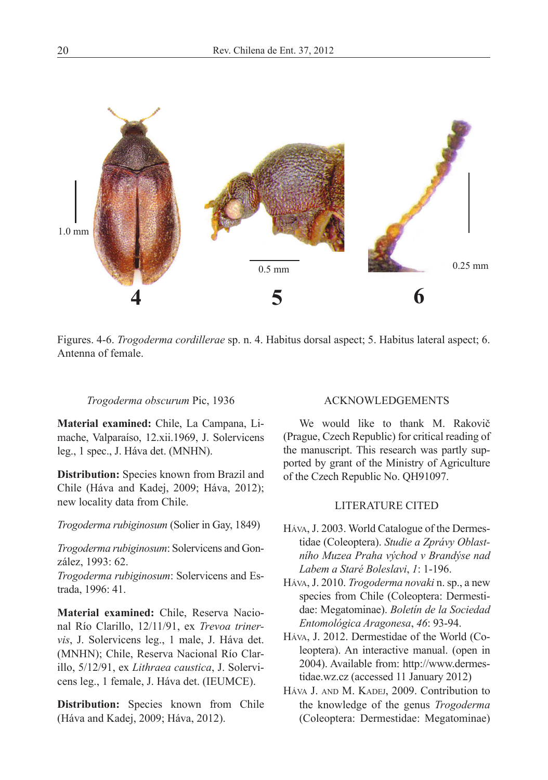

Figures. 4-6. *Trogoderma cordillerae* sp. n. 4. Habitus dorsal aspect; 5. Habitus lateral aspect; 6. Antenna of female.

#### *Trogoderma obscurum* Pic, 1936

**Material examined:** Chile, La Campana, Limache, Valparaíso, 12.xii.1969, J. Solervicens leg., 1 spec., J. Háva det. (MNHN).

**Distribution:** Species known from Brazil and Chile (Háva and Kadej, 2009; Háva, 2012); new locality data from Chile.

*Trogoderma rubiginosum* (Solier in Gay, 1849)

*Trogoderma rubiginosum*: Solervicens and González, 1993: 62.

*Trogoderma rubiginosum*: Solervicens and Estrada, 1996: 41.

**Material examined:** Chile, Reserva Nacional Río Clarillo, 12/11/91, ex *Trevoa trinervis*, J. Solervicens leg., 1 male, J. Háva det. (MNHN); Chile, Reserva Nacional Río Clarillo, 5/12/91, ex *Lithraea caustica*, J. Solervicens leg., 1 female, J. Háva det. (IEUMCE).

**Distribution:** Species known from Chile (Háva and Kadej, 2009; Háva, 2012).

#### ACKNOWLEDGEMENTS

We would like to thank M. Rakovič (Prague, Czech Republic) for critical reading of the manuscript. This research was partly supported by grant of the Ministry of Agriculture of the Czech Republic No. QH91097.

### LITERATURE CITED

- Háva, J. 2003. World Catalogue of the Dermestidae (Coleoptera). *Studie a Zprávy Oblastního Muzea Praha východ v Brandýse nad Labem a Staré Boleslavi*, *1*: 1-196.
- Háva, J. 2010. *Trogoderma novaki* n. sp., a new species from Chile (Coleoptera: Dermestidae: Megatominae). *Boletín de la Sociedad Entomológica Aragonesa*, *46*: 93-94.
- Háva, J. 2012. Dermestidae of the World (Coleoptera). An interactive manual. (open in 2004). Available from: http://www.dermestidae.wz.cz (accessed 11 January 2012)
- Háva J. and M. Kadej, 2009. Contribution to the knowledge of the genus *Trogoderma* (Coleoptera: Dermestidae: Megatominae)